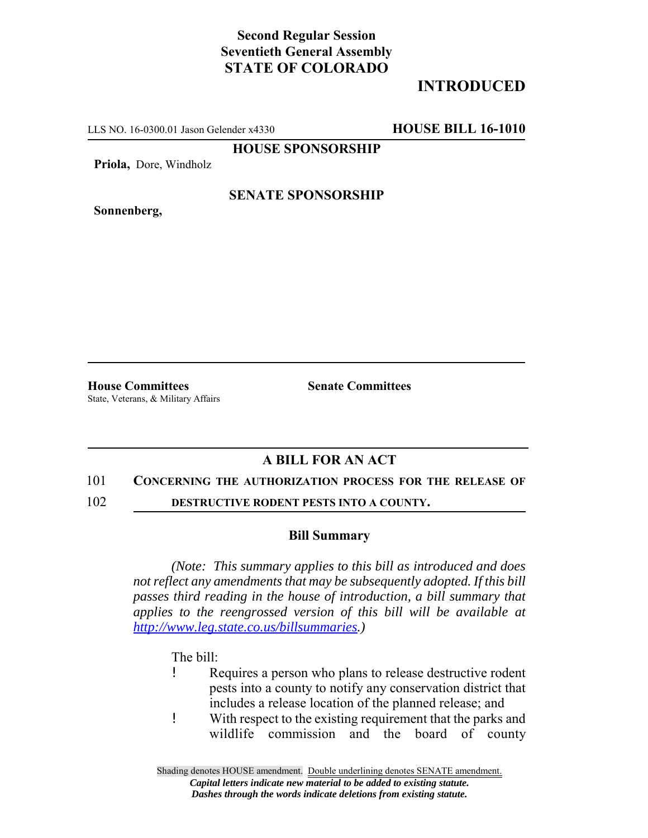## **Second Regular Session Seventieth General Assembly STATE OF COLORADO**

# **INTRODUCED**

LLS NO. 16-0300.01 Jason Gelender x4330 **HOUSE BILL 16-1010**

**HOUSE SPONSORSHIP**

**Priola,** Dore, Windholz

**Sonnenberg,**

### **SENATE SPONSORSHIP**

**House Committees Senate Committees** State, Veterans, & Military Affairs

## **A BILL FOR AN ACT**

#### 101 **CONCERNING THE AUTHORIZATION PROCESS FOR THE RELEASE OF**

102 **DESTRUCTIVE RODENT PESTS INTO A COUNTY.**

### **Bill Summary**

*(Note: This summary applies to this bill as introduced and does not reflect any amendments that may be subsequently adopted. If this bill passes third reading in the house of introduction, a bill summary that applies to the reengrossed version of this bill will be available at http://www.leg.state.co.us/billsummaries.)*

The bill:

- ! Requires a person who plans to release destructive rodent pests into a county to notify any conservation district that includes a release location of the planned release; and
- ! With respect to the existing requirement that the parks and wildlife commission and the board of county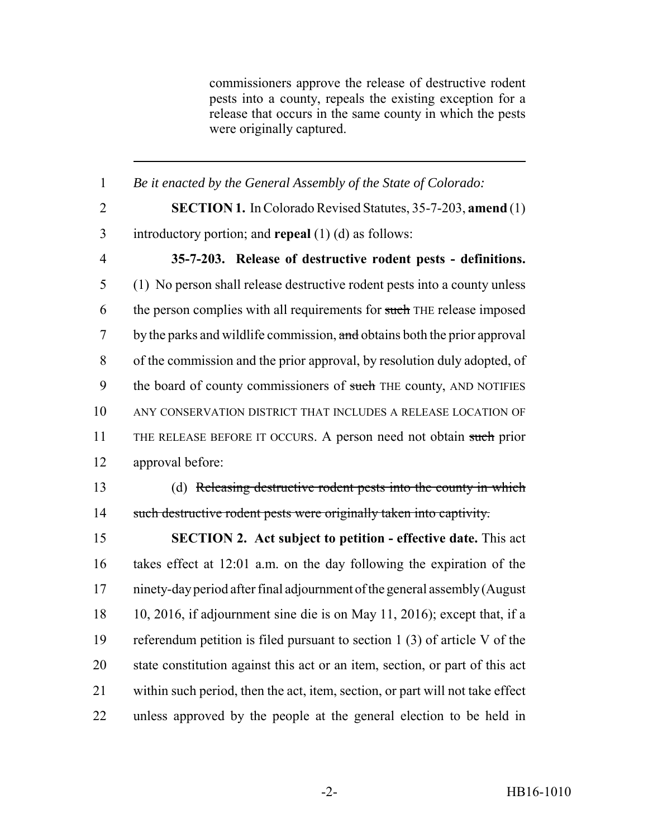commissioners approve the release of destructive rodent pests into a county, repeals the existing exception for a release that occurs in the same county in which the pests were originally captured.

 *Be it enacted by the General Assembly of the State of Colorado:* **SECTION 1.** In Colorado Revised Statutes, 35-7-203, **amend** (1) introductory portion; and **repeal** (1) (d) as follows: **35-7-203. Release of destructive rodent pests - definitions.** (1) No person shall release destructive rodent pests into a county unless 6 the person complies with all requirements for such THE release imposed 7 by the parks and wildlife commission, and obtains both the prior approval of the commission and the prior approval, by resolution duly adopted, of 9 the board of county commissioners of such THE county, AND NOTIFIES ANY CONSERVATION DISTRICT THAT INCLUDES A RELEASE LOCATION OF 11 THE RELEASE BEFORE IT OCCURS. A person need not obtain such prior approval before: (d) Releasing destructive rodent pests into the county in which such destructive rodent pests were originally taken into captivity. **SECTION 2. Act subject to petition - effective date.** This act takes effect at 12:01 a.m. on the day following the expiration of the ninety-day period after final adjournment of the general assembly (August 10, 2016, if adjournment sine die is on May 11, 2016); except that, if a

 referendum petition is filed pursuant to section 1 (3) of article V of the state constitution against this act or an item, section, or part of this act within such period, then the act, item, section, or part will not take effect unless approved by the people at the general election to be held in